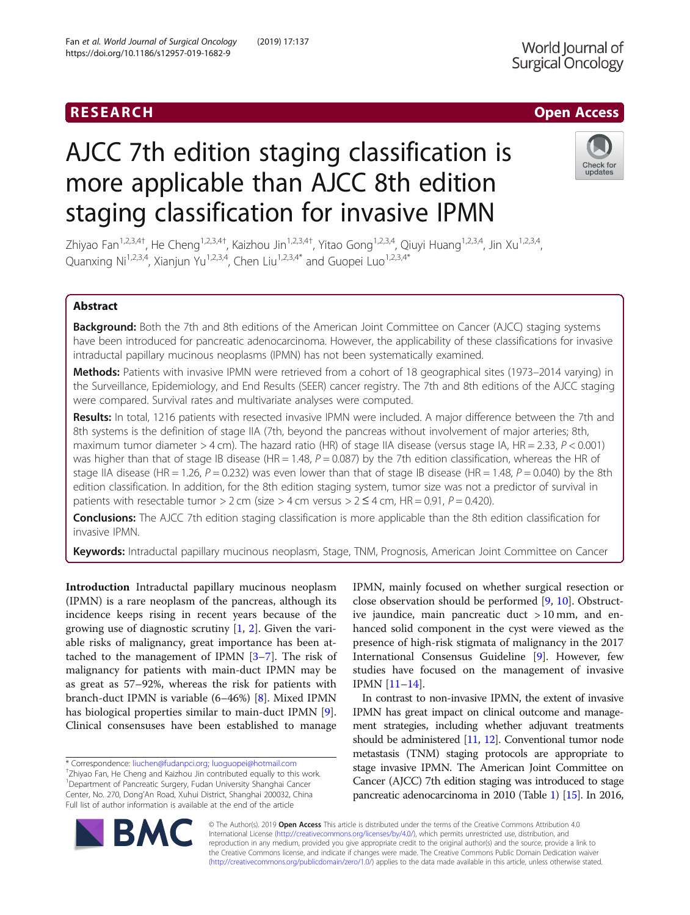# **RESEARCH CHILD CONTROL** CONTROL CONTROL CONTROL CONTROL CONTROL CONTROL CONTROL CONTROL CONTROL CONTROL CONTROL

# World Journal of Surgical Oncology

# AJCC 7th edition staging classification is more applicable than AJCC 8th edition staging classification for invasive IPMN



Zhiyao Fan<sup>1,2,3,4†</sup>, He Cheng<sup>1,2,3,4†</sup>, Kaizhou Jin<sup>1,2,3,4†</sup>, Yitao Gong<sup>1,2,3,4</sup>, Qiuyi Huang<sup>1,2,3,4</sup>, Jin Xu<sup>1,2,3,4</sup>, Quanxing Ni<sup>1,2,3,4</sup>, Xianjun Yu<sup>1,2,3,4</sup>, Chen Liu<sup>1,2,3,4\*</sup> and Guopei Luo<sup>1,2,3,4\*</sup>

## Abstract

Background: Both the 7th and 8th editions of the American Joint Committee on Cancer (AJCC) staging systems have been introduced for pancreatic adenocarcinoma. However, the applicability of these classifications for invasive intraductal papillary mucinous neoplasms (IPMN) has not been systematically examined.

Methods: Patients with invasive IPMN were retrieved from a cohort of 18 geographical sites (1973–2014 varying) in the Surveillance, Epidemiology, and End Results (SEER) cancer registry. The 7th and 8th editions of the AJCC staging were compared. Survival rates and multivariate analyses were computed.

Results: In total, 1216 patients with resected invasive IPMN were included. A major difference between the 7th and 8th systems is the definition of stage IIA (7th, beyond the pancreas without involvement of major arteries; 8th, maximum tumor diameter  $>$  4 cm). The hazard ratio (HR) of stage IIA disease (versus stage IA, HR = 2.33,  $P$  < 0.001) was higher than that of stage IB disease (HR = 1.48,  $P = 0.087$ ) by the 7th edition classification, whereas the HR of stage IIA disease (HR = 1.26,  $P = 0.232$ ) was even lower than that of stage IB disease (HR = 1.48,  $P = 0.040$ ) by the 8th edition classification. In addition, for the 8th edition staging system, tumor size was not a predictor of survival in patients with resectable tumor > 2 cm (size > 4 cm versus >  $2 \le 4$  cm, HR = 0.91, P = 0.420).

**Conclusions:** The AJCC 7th edition staging classification is more applicable than the 8th edition classification for invasive IPMN.

Keywords: Intraductal papillary mucinous neoplasm, Stage, TNM, Prognosis, American Joint Committee on Cancer

Introduction Intraductal papillary mucinous neoplasm (IPMN) is a rare neoplasm of the pancreas, although its incidence keeps rising in recent years because of the growing use of diagnostic scrutiny  $[1, 2]$  $[1, 2]$  $[1, 2]$  $[1, 2]$ . Given the variable risks of malignancy, great importance has been attached to the management of IPMN [\[3](#page-6-0)–[7\]](#page-6-0). The risk of malignancy for patients with main-duct IPMN may be as great as 57–92%, whereas the risk for patients with branch-duct IPMN is variable (6–46%) [[8\]](#page-6-0). Mixed IPMN has biological properties similar to main-duct IPMN [\[9](#page-6-0)]. Clinical consensuses have been established to manage

\* Correspondence: [liuchen@fudanpci.org](mailto:liuchen@fudanpci.org); [luoguopei@hotmail.com](mailto:luoguopei@hotmail.com) † <sup>+</sup>Zhiyao Fan, He Cheng and Kaizhou Jin contributed equally to this work. <sup>1</sup>Department of Pancreatic Surgery, Fudan University Shanghai Cancer Center, No. 270, Dong'An Road, Xuhui District, Shanghai 200032, China Full list of author information is available at the end of the article

IPMN, mainly focused on whether surgical resection or close observation should be performed [[9](#page-6-0), [10\]](#page-6-0). Obstructive jaundice, main pancreatic duct > 10 mm, and enhanced solid component in the cyst were viewed as the presence of high-risk stigmata of malignancy in the 2017 International Consensus Guideline [\[9](#page-6-0)]. However, few studies have focused on the management of invasive IPMN [\[11](#page-6-0)–[14\]](#page-6-0).

In contrast to non-invasive IPMN, the extent of invasive IPMN has great impact on clinical outcome and management strategies, including whether adjuvant treatments should be administered [\[11,](#page-6-0) [12](#page-6-0)]. Conventional tumor node metastasis (TNM) staging protocols are appropriate to stage invasive IPMN. The American Joint Committee on Cancer (AJCC) 7th edition staging was introduced to stage pancreatic adenocarcinoma in 2010 (Table [1\)](#page-1-0) [\[15](#page-6-0)]. In 2016,



© The Author(s). 2019 **Open Access** This article is distributed under the terms of the Creative Commons Attribution 4.0 International License [\(http://creativecommons.org/licenses/by/4.0/](http://creativecommons.org/licenses/by/4.0/)), which permits unrestricted use, distribution, and reproduction in any medium, provided you give appropriate credit to the original author(s) and the source, provide a link to the Creative Commons license, and indicate if changes were made. The Creative Commons Public Domain Dedication waiver [\(http://creativecommons.org/publicdomain/zero/1.0/](http://creativecommons.org/publicdomain/zero/1.0/)) applies to the data made available in this article, unless otherwise stated.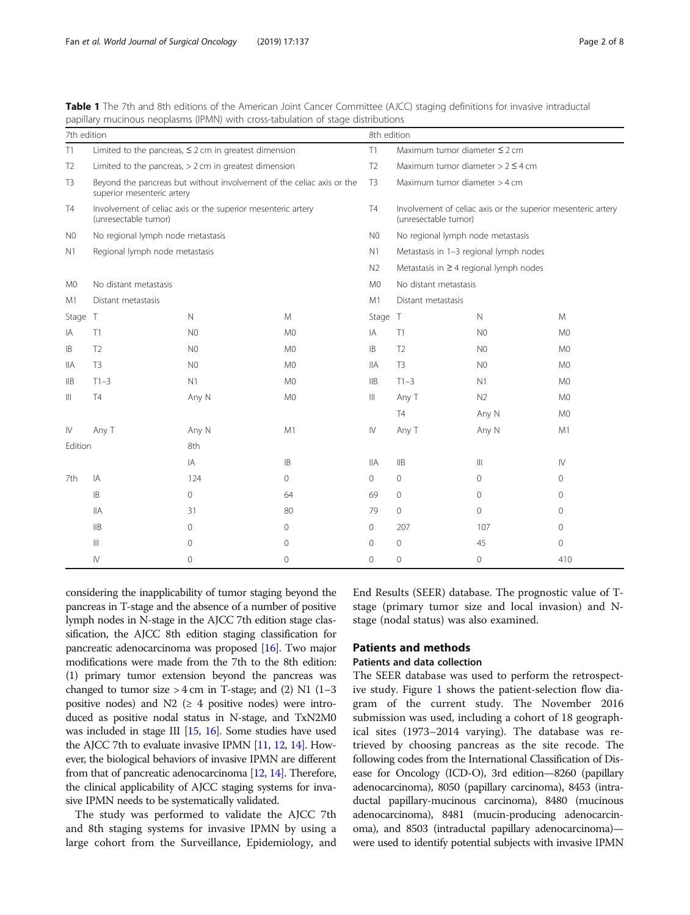<span id="page-1-0"></span>

| Table 1 The 7th and 8th editions of the American Joint Cancer Committee (AJCC) staging definitions for invasive intraductal |  |  |  |  |  |
|-----------------------------------------------------------------------------------------------------------------------------|--|--|--|--|--|
| papillary mucinous neoplasms (IPMN) with cross-tabulation of stage distributions                                            |  |  |  |  |  |

| 7th edition    |                                                                                                     |                |                | 8th edition    |                                                                                      |                |                |  |
|----------------|-----------------------------------------------------------------------------------------------------|----------------|----------------|----------------|--------------------------------------------------------------------------------------|----------------|----------------|--|
| T1             | Limited to the pancreas, $\leq$ 2 cm in greatest dimension                                          |                |                | T1             | Maximum tumor diameter ≤ 2 cm                                                        |                |                |  |
| T <sub>2</sub> | Limited to the pancreas, $> 2$ cm in greatest dimension                                             |                |                | T <sub>2</sub> | Maximum tumor diameter $> 2 \leq 4$ cm                                               |                |                |  |
| T <sub>3</sub> | Beyond the pancreas but without involvement of the celiac axis or the<br>superior mesenteric artery |                |                | T3             | Maximum tumor diameter > 4 cm                                                        |                |                |  |
| <b>T4</b>      | Involvement of celiac axis or the superior mesenteric artery<br>(unresectable tumor)                |                |                |                | Involvement of celiac axis or the superior mesenteric artery<br>(unresectable tumor) |                |                |  |
| N <sub>0</sub> | No regional lymph node metastasis                                                                   |                |                |                | No regional lymph node metastasis                                                    |                |                |  |
| N1             | Regional lymph node metastasis                                                                      |                |                |                | Metastasis in 1-3 regional lymph nodes                                               |                |                |  |
|                |                                                                                                     |                |                |                | Metastasis in $\geq$ 4 regional lymph nodes                                          |                |                |  |
| M0             | No distant metastasis                                                                               |                |                |                | No distant metastasis                                                                |                |                |  |
| M1             | Distant metastasis                                                                                  |                |                | M1             | Distant metastasis                                                                   |                |                |  |
| Stage T        |                                                                                                     | $\mathbb N$    | M              | Stage T        |                                                                                      | $\mathbb N$    | M              |  |
| IA             | T1                                                                                                  | N <sub>0</sub> | M <sub>0</sub> | IA             | T1                                                                                   | N <sub>0</sub> | M <sub>0</sub> |  |
| IB             | T <sub>2</sub>                                                                                      | N <sub>0</sub> | M <sub>0</sub> | IB.            | T <sub>2</sub>                                                                       | N <sub>0</sub> | M <sub>0</sub> |  |
| IIA            | T <sub>3</sub>                                                                                      | N <sub>0</sub> | M <sub>0</sub> | <b>IIA</b>     | T <sub>3</sub>                                                                       | N <sub>0</sub> | M <sub>0</sub> |  |
| IIB            | $T1-3$                                                                                              | N1             | M <sub>0</sub> | $\mathsf{IIB}$ | $T1-3$                                                                               | N1             | M <sub>0</sub> |  |
| Ш              | <b>T4</b>                                                                                           | Any N          | M <sub>0</sub> | $\mathbb{H}$   | Any T                                                                                | N <sub>2</sub> | M <sub>0</sub> |  |
|                |                                                                                                     |                |                |                | T <sub>4</sub>                                                                       | Any N          | M <sub>0</sub> |  |
| $\mathsf{N}$   | Any T                                                                                               | Any N          | M1             | $\mathsf{N}$   | Any T                                                                                | Any N          | M1             |  |
| Edition        |                                                                                                     | 8th            |                |                |                                                                                      |                |                |  |
|                |                                                                                                     | IA             | <b>IB</b>      | <b>IIA</b>     | IIB                                                                                  | $\mathbf{III}$ | $\mathsf{IV}$  |  |
| 7th            | IA                                                                                                  | 124            | $\circ$        | $\Omega$       | $\mathbf{0}$                                                                         | $\Omega$       | $\Omega$       |  |
|                | IB                                                                                                  | 0              | 64             | 69             | $\mathbf 0$                                                                          | $\circ$        | 0              |  |
|                | <b>IIA</b>                                                                                          | 31             | 80             | 79             | $\circ$                                                                              | $\circ$        | 0              |  |
|                | IIB                                                                                                 | $\Omega$       | $\Omega$       | $\Omega$       | 207                                                                                  | 107            | $\circ$        |  |
|                | $\mathsf{III}$                                                                                      | $\Omega$       | $\mathbf{0}$   | $\Omega$       | $\mathbf{0}$                                                                         | 45             | $\circ$        |  |
|                | $\mathsf{IV}$                                                                                       | $\Omega$       | $\Omega$       | $\Omega$       | $\mathbf{0}$                                                                         | 0              | 410            |  |

considering the inapplicability of tumor staging beyond the pancreas in T-stage and the absence of a number of positive lymph nodes in N-stage in the AJCC 7th edition stage classification, the AJCC 8th edition staging classification for pancreatic adenocarcinoma was proposed [\[16\]](#page-6-0). Two major modifications were made from the 7th to the 8th edition: (1) primary tumor extension beyond the pancreas was changed to tumor size  $> 4$  cm in T-stage; and (2) N1 (1–3) positive nodes) and N2 ( $\geq$  4 positive nodes) were introduced as positive nodal status in N-stage, and TxN2M0 was included in stage III [\[15,](#page-6-0) [16\]](#page-6-0). Some studies have used the AJCC 7th to evaluate invasive IPMN [\[11,](#page-6-0) [12,](#page-6-0) [14](#page-6-0)]. However, the biological behaviors of invasive IPMN are different from that of pancreatic adenocarcinoma [\[12](#page-6-0), [14](#page-6-0)]. Therefore, the clinical applicability of AJCC staging systems for invasive IPMN needs to be systematically validated.

The study was performed to validate the AJCC 7th and 8th staging systems for invasive IPMN by using a large cohort from the Surveillance, Epidemiology, and

End Results (SEER) database. The prognostic value of Tstage (primary tumor size and local invasion) and Nstage (nodal status) was also examined.

#### Patients and methods

### Patients and data collection

The SEER database was used to perform the retrospective study. Figure [1](#page-2-0) shows the patient-selection flow diagram of the current study. The November 2016 submission was used, including a cohort of 18 geographical sites (1973–2014 varying). The database was retrieved by choosing pancreas as the site recode. The following codes from the International Classification of Disease for Oncology (ICD-O), 3rd edition—8260 (papillary adenocarcinoma), 8050 (papillary carcinoma), 8453 (intraductal papillary-mucinous carcinoma), 8480 (mucinous adenocarcinoma), 8481 (mucin-producing adenocarcinoma), and 8503 (intraductal papillary adenocarcinoma) were used to identify potential subjects with invasive IPMN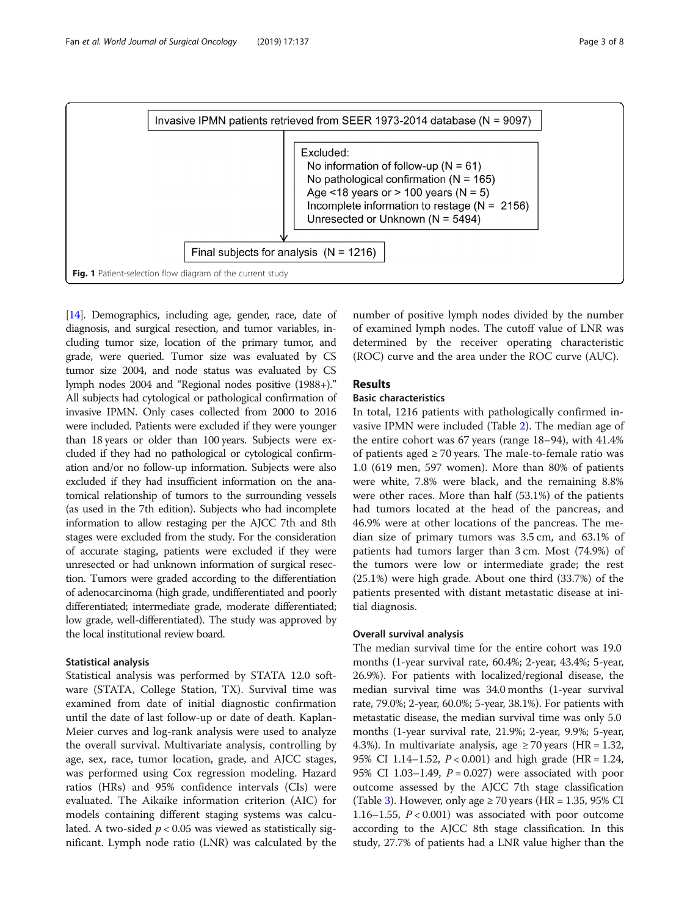<span id="page-2-0"></span>

[[14](#page-6-0)]. Demographics, including age, gender, race, date of diagnosis, and surgical resection, and tumor variables, including tumor size, location of the primary tumor, and grade, were queried. Tumor size was evaluated by CS tumor size 2004, and node status was evaluated by CS lymph nodes 2004 and "Regional nodes positive (1988+)." All subjects had cytological or pathological confirmation of invasive IPMN. Only cases collected from 2000 to 2016 were included. Patients were excluded if they were younger than 18 years or older than 100 years. Subjects were excluded if they had no pathological or cytological confirmation and/or no follow-up information. Subjects were also excluded if they had insufficient information on the anatomical relationship of tumors to the surrounding vessels (as used in the 7th edition). Subjects who had incomplete information to allow restaging per the AJCC 7th and 8th stages were excluded from the study. For the consideration of accurate staging, patients were excluded if they were unresected or had unknown information of surgical resection. Tumors were graded according to the differentiation of adenocarcinoma (high grade, undifferentiated and poorly differentiated; intermediate grade, moderate differentiated; low grade, well-differentiated). The study was approved by the local institutional review board.

#### Statistical analysis

Statistical analysis was performed by STATA 12.0 software (STATA, College Station, TX). Survival time was examined from date of initial diagnostic confirmation until the date of last follow-up or date of death. Kaplan-Meier curves and log-rank analysis were used to analyze the overall survival. Multivariate analysis, controlling by age, sex, race, tumor location, grade, and AJCC stages, was performed using Cox regression modeling. Hazard ratios (HRs) and 95% confidence intervals (CIs) were evaluated. The Aikaike information criterion (AIC) for models containing different staging systems was calculated. A two-sided  $p < 0.05$  was viewed as statistically significant. Lymph node ratio (LNR) was calculated by the number of positive lymph nodes divided by the number of examined lymph nodes. The cutoff value of LNR was determined by the receiver operating characteristic (ROC) curve and the area under the ROC curve (AUC).

# Results

#### Basic characteristics

In total, 1216 patients with pathologically confirmed invasive IPMN were included (Table [2\)](#page-3-0). The median age of the entire cohort was 67 years (range 18–94), with 41.4% of patients aged  $\geq$  70 years. The male-to-female ratio was 1.0 (619 men, 597 women). More than 80% of patients were white, 7.8% were black, and the remaining 8.8% were other races. More than half (53.1%) of the patients had tumors located at the head of the pancreas, and 46.9% were at other locations of the pancreas. The median size of primary tumors was 3.5 cm, and 63.1% of patients had tumors larger than 3 cm. Most (74.9%) of the tumors were low or intermediate grade; the rest (25.1%) were high grade. About one third (33.7%) of the patients presented with distant metastatic disease at initial diagnosis.

#### Overall survival analysis

The median survival time for the entire cohort was 19.0 months (1-year survival rate, 60.4%; 2-year, 43.4%; 5-year, 26.9%). For patients with localized/regional disease, the median survival time was 34.0 months (1-year survival rate, 79.0%; 2-year, 60.0%; 5-year, 38.1%). For patients with metastatic disease, the median survival time was only 5.0 months (1-year survival rate, 21.9%; 2-year, 9.9%; 5-year, 4.3%). In multivariate analysis, age  $\geq 70$  years (HR = 1.32, 95% CI 1.14–1.52, P < 0.001) and high grade (HR = 1.24, 95% CI 1.03–1.49,  $P = 0.027$ ) were associated with poor outcome assessed by the AJCC 7th stage classification (Table [3](#page-4-0)). However, only age  $\geq 70$  years (HR = 1.35, 95% CI) 1.16–1.55,  $P < 0.001$ ) was associated with poor outcome according to the AJCC 8th stage classification. In this study, 27.7% of patients had a LNR value higher than the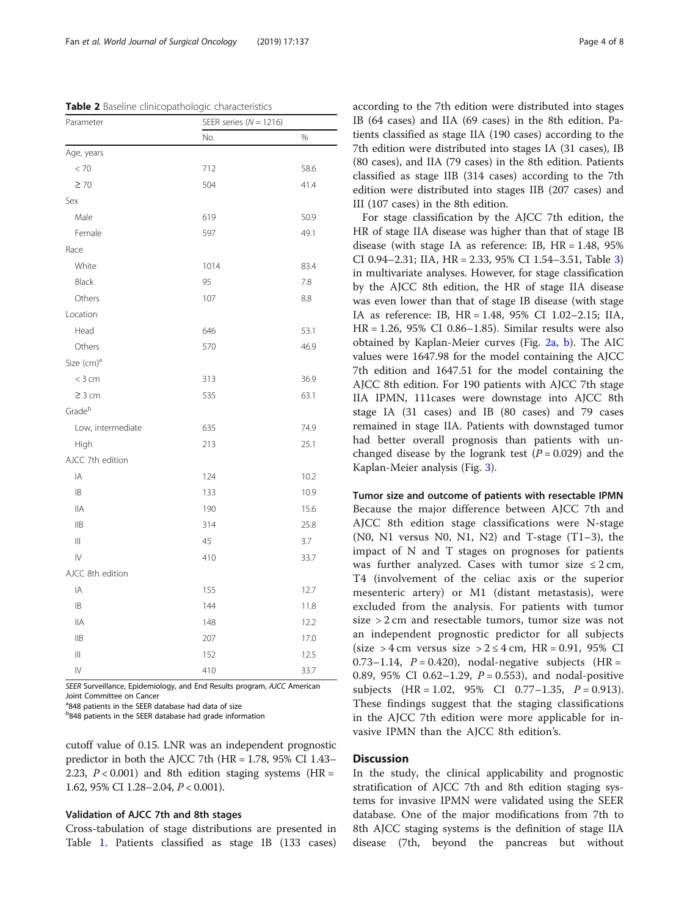<span id="page-3-0"></span>Table 2 Baseline clinicopathologic characteristics

| Parameter              | SEER series ( $N = 1216$ ) |      |  |  |  |  |
|------------------------|----------------------------|------|--|--|--|--|
|                        | No.                        | %    |  |  |  |  |
| Age, years             |                            |      |  |  |  |  |
| < 70                   | 712                        | 58.6 |  |  |  |  |
| $\geq 70$              | 504                        | 41.4 |  |  |  |  |
| Sex                    |                            |      |  |  |  |  |
| Male                   | 619                        | 50.9 |  |  |  |  |
| Female                 | 597                        | 49.1 |  |  |  |  |
| Race                   |                            |      |  |  |  |  |
| White                  | 1014                       | 83.4 |  |  |  |  |
| Black                  | 95                         | 7.8  |  |  |  |  |
| Others                 | 107                        | 8.8  |  |  |  |  |
| Location               |                            |      |  |  |  |  |
| Head                   | 646                        | 53.1 |  |  |  |  |
| Others                 | 570                        | 46.9 |  |  |  |  |
| Size (cm) <sup>a</sup> |                            |      |  |  |  |  |
| $<$ 3 cm               | 313                        | 36.9 |  |  |  |  |
| $\geq$ 3 cm            | 535                        | 63.1 |  |  |  |  |
| Grade <sup>b</sup>     |                            |      |  |  |  |  |
| Low, intermediate      | 635                        | 74.9 |  |  |  |  |
| High                   | 213                        | 25.1 |  |  |  |  |
| AJCC 7th edition       |                            |      |  |  |  |  |
| IA                     | 124                        | 10.2 |  |  |  |  |
| IB                     | 133                        | 10.9 |  |  |  |  |
| IIА                    | 190                        | 15.6 |  |  |  |  |
| <b>IIB</b>             | 314                        | 25.8 |  |  |  |  |
| Ш                      | 45                         | 3.7  |  |  |  |  |
| $\overline{V}$         | 410                        | 33.7 |  |  |  |  |
| AJCC 8th edition       |                            |      |  |  |  |  |
| IA                     | 155                        | 12.7 |  |  |  |  |
| IB                     | 144                        | 11.8 |  |  |  |  |
| ΙIΑ                    | 148                        | 12.2 |  |  |  |  |
| <b>IIB</b>             | 207                        | 17.0 |  |  |  |  |
| $\parallel$            | 152                        | 12.5 |  |  |  |  |
| $\overline{V}$         | 410                        | 33.7 |  |  |  |  |

SEER Surveillance, Epidemiology, and End Results program, AJCC American Joint Committee on Cancer

<sup>a</sup>848 patients in the SEER database had data of size

**b**848 patients in the SEER database had grade information

cutoff value of 0.15. LNR was an independent prognostic predictor in both the AJCC 7th  $(HR = 1.78, 95\% \text{ CI } 1.43-$ 2.23,  $P < 0.001$ ) and 8th edition staging systems (HR = 1.62, 95% CI 1.28–2.04, P < 0.001).

#### Validation of AJCC 7th and 8th stages

Cross-tabulation of stage distributions are presented in Table [1.](#page-1-0) Patients classified as stage IB (133 cases) according to the 7th edition were distributed into stages IB (64 cases) and IIA (69 cases) in the 8th edition. Patients classified as stage IIA (190 cases) according to the 7th edition were distributed into stages IA (31 cases), IB (80 cases), and IIA (79 cases) in the 8th edition. Patients classified as stage IIB (314 cases) according to the 7th edition were distributed into stages IIB (207 cases) and III (107 cases) in the 8th edition.

For stage classification by the AJCC 7th edition, the HR of stage IIA disease was higher than that of stage IB disease (with stage IA as reference: IB, HR = 1.48, 95% CI 0.94–2.31; IIA, HR = 2.33, 95% CI 1.54–3.51, Table [3](#page-4-0)) in multivariate analyses. However, for stage classification by the AJCC 8th edition, the HR of stage IIA disease was even lower than that of stage IB disease (with stage IA as reference: IB, HR = 1.48, 95% CI 1.02–2.15; IIA, HR = 1.26, 95% CI 0.86–1.85). Similar results were also obtained by Kaplan-Meier curves (Fig. [2a, b\)](#page-5-0). The AIC values were 1647.98 for the model containing the AJCC 7th edition and 1647.51 for the model containing the AJCC 8th edition. For 190 patients with AJCC 7th stage IIA IPMN, 111cases were downstage into AJCC 8th stage IA (31 cases) and IB (80 cases) and 79 cases remained in stage IIA. Patients with downstaged tumor had better overall prognosis than patients with unchanged disease by the logrank test  $(P = 0.029)$  and the Kaplan-Meier analysis (Fig. [3\)](#page-5-0).

Tumor size and outcome of patients with resectable IPMN Because the major difference between AJCC 7th and AJCC 8th edition stage classifications were N-stage (N0, N1 versus N0, N1, N2) and T-stage (T1–3), the impact of N and T stages on prognoses for patients was further analyzed. Cases with tumor size  $\leq 2$  cm, T4 (involvement of the celiac axis or the superior mesenteric artery) or M1 (distant metastasis), were excluded from the analysis. For patients with tumor size > 2 cm and resectable tumors, tumor size was not an independent prognostic predictor for all subjects (size > 4 cm versus size >  $2 \leq 4$  cm, HR = 0.91, 95% CI 0.73–1.14,  $P = 0.420$ ), nodal-negative subjects (HR = 0.89, 95% CI 0.62-1.29,  $P = 0.553$ ), and nodal-positive subjects  $(HR = 1.02, 95\% \text{ CI} 0.77-1.35, P = 0.913).$ These findings suggest that the staging classifications in the AJCC 7th edition were more applicable for invasive IPMN than the AJCC 8th edition's.

#### **Discussion**

In the study, the clinical applicability and prognostic stratification of AJCC 7th and 8th edition staging systems for invasive IPMN were validated using the SEER database. One of the major modifications from 7th to 8th AJCC staging systems is the definition of stage IIA disease (7th, beyond the pancreas but without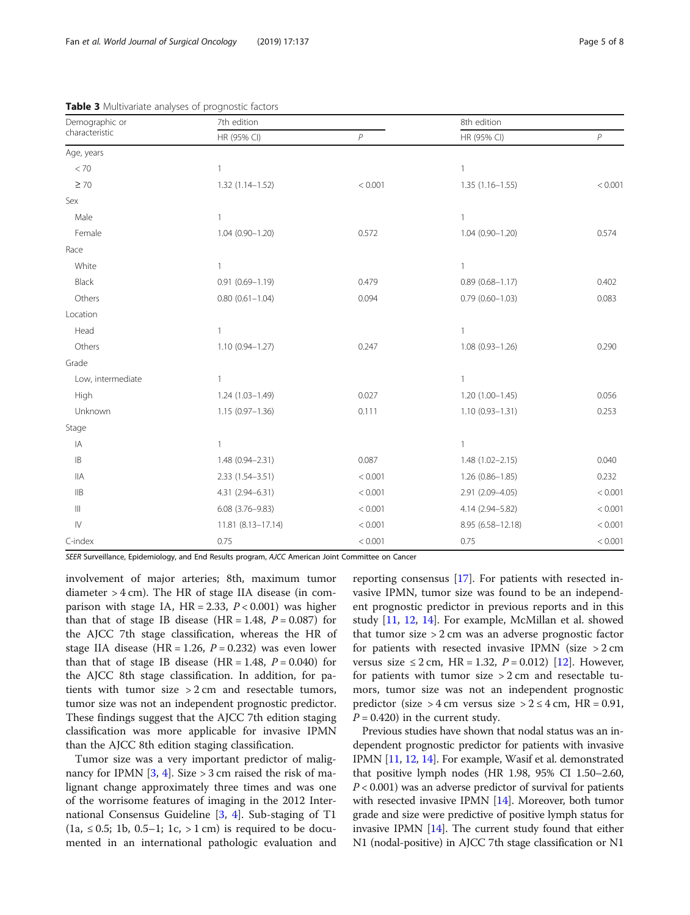| Demographic or    | 7th edition         |                | 8th edition         |                |
|-------------------|---------------------|----------------|---------------------|----------------|
| characteristic    | HR (95% CI)         | $\overline{P}$ | HR (95% CI)         | $\overline{P}$ |
| Age, years        |                     |                |                     |                |
| < 70              | $\mathbf{1}$        |                | $\mathbf{1}$        |                |
| $\geq 70$         | 1.32 (1.14-1.52)    | < 0.001        | $1.35(1.16 - 1.55)$ | < 0.001        |
| Sex               |                     |                |                     |                |
| Male              | $\mathbf{1}$        |                | $\mathbf{1}$        |                |
| Female            | $1.04(0.90 - 1.20)$ | 0.572          | $1.04(0.90 - 1.20)$ | 0.574          |
| Race              |                     |                |                     |                |
| White             | $\mathbf{1}$        |                | $\mathbf{1}$        |                |
| Black             | $0.91(0.69 - 1.19)$ | 0.479          | $0.89(0.68 - 1.17)$ | 0.402          |
| Others            | $0.80(0.61 - 1.04)$ | 0.094          | $0.79(0.60 - 1.03)$ | 0.083          |
| Location          |                     |                |                     |                |
| Head              | $\mathbf{1}$        |                | 1                   |                |
| Others            | $1.10(0.94 - 1.27)$ | 0.247          | $1.08(0.93 - 1.26)$ | 0.290          |
| Grade             |                     |                |                     |                |
| Low, intermediate | $\mathbf{1}$        |                | $\mathbf{1}$        |                |
| High              | $1.24(1.03 - 1.49)$ | 0.027          | $1.20(1.00 - 1.45)$ | 0.056          |
| Unknown           | $1.15(0.97 - 1.36)$ | 0.111          | $1.10(0.93 - 1.31)$ | 0.253          |
| Stage             |                     |                |                     |                |
| IA                | $\mathbf{1}$        |                | $\mathbf{1}$        |                |
| B                 | 1.48 (0.94-2.31)    | 0.087          | $1.48(1.02 - 2.15)$ | 0.040          |
| <b>IIA</b>        | 2.33 (1.54-3.51)    | < 0.001        | $1.26(0.86 - 1.85)$ | 0.232          |
| IIB               | 4.31 (2.94-6.31)    | < 0.001        | 2.91 (2.09-4.05)    | < 0.001        |
| $\vert\vert\vert$ | $6.08(3.76 - 9.83)$ | < 0.001        | 4.14 (2.94-5.82)    | < 0.001        |
| $\mathsf{IV}$     | 11.81 (8.13-17.14)  | < 0.001        | 8.95 (6.58-12.18)   | < 0.001        |
| C-index           | 0.75                | < 0.001        | 0.75                | < 0.001        |

<span id="page-4-0"></span>Table 3 Multivariate analyses of prognostic factors

SEER Surveillance, Epidemiology, and End Results program, AJCC American Joint Committee on Cancer

involvement of major arteries; 8th, maximum tumor diameter > 4 cm). The HR of stage IIA disease (in comparison with stage IA,  $HR = 2.33$ ,  $P < 0.001$ ) was higher than that of stage IB disease (HR = 1.48,  $P = 0.087$ ) for the AJCC 7th stage classification, whereas the HR of stage IIA disease (HR = 1.26,  $P = 0.232$ ) was even lower than that of stage IB disease (HR = 1.48,  $P = 0.040$ ) for the AJCC 8th stage classification. In addition, for patients with tumor size > 2 cm and resectable tumors, tumor size was not an independent prognostic predictor. These findings suggest that the AJCC 7th edition staging classification was more applicable for invasive IPMN than the AJCC 8th edition staging classification.

Tumor size was a very important predictor of malignancy for IPMN  $[3, 4]$  $[3, 4]$  $[3, 4]$  $[3, 4]$ . Size > 3 cm raised the risk of malignant change approximately three times and was one of the worrisome features of imaging in the 2012 International Consensus Guideline [[3,](#page-6-0) [4](#page-6-0)]. Sub-staging of T1  $(1a, ≤ 0.5; 1b, 0.5-1; 1c, > 1 cm)$  is required to be documented in an international pathologic evaluation and

reporting consensus [[17\]](#page-6-0). For patients with resected invasive IPMN, tumor size was found to be an independent prognostic predictor in previous reports and in this study [\[11](#page-6-0), [12,](#page-6-0) [14](#page-6-0)]. For example, McMillan et al. showed that tumor size > 2 cm was an adverse prognostic factor for patients with resected invasive IPMN (size  $>2$  cm versus size ≤ 2 cm, HR = 1.32,  $P = 0.012$ ) [\[12\]](#page-6-0). However, for patients with tumor size  $> 2$  cm and resectable tumors, tumor size was not an independent prognostic predictor (size > 4 cm versus size >  $2 \le 4$  cm, HR = 0.91,  $P = 0.420$ ) in the current study.

Previous studies have shown that nodal status was an independent prognostic predictor for patients with invasive IPMN [\[11](#page-6-0), [12](#page-6-0), [14\]](#page-6-0). For example, Wasif et al. demonstrated that positive lymph nodes (HR 1.98, 95% CI 1.50–2.60,  $P < 0.001$ ) was an adverse predictor of survival for patients with resected invasive IPMN [\[14\]](#page-6-0). Moreover, both tumor grade and size were predictive of positive lymph status for invasive IPMN [[14](#page-6-0)]. The current study found that either N1 (nodal-positive) in AJCC 7th stage classification or N1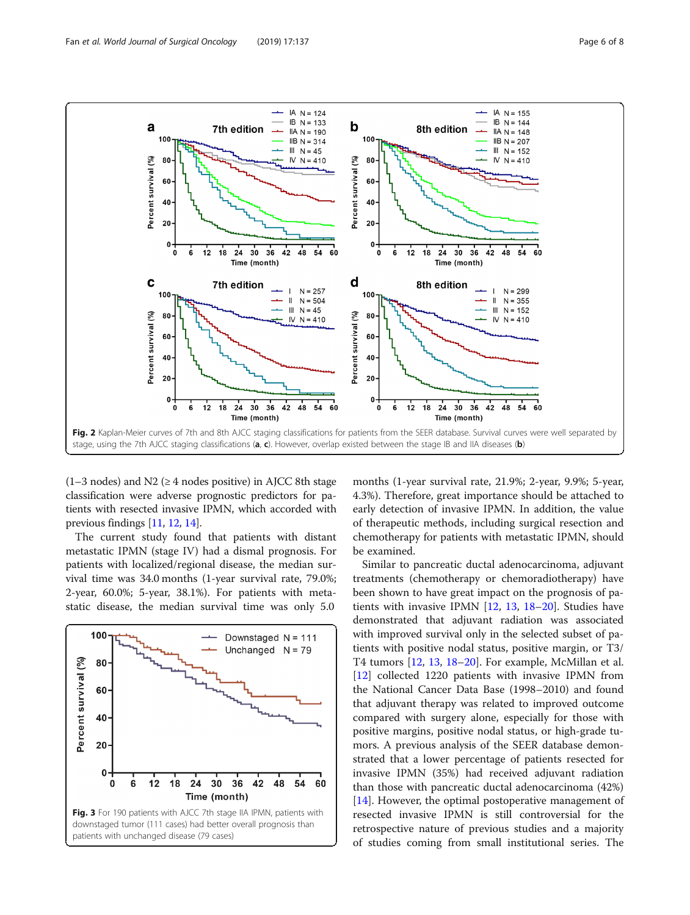<span id="page-5-0"></span>

 $(1-3 \text{ nodes})$  and N2 ( $\geq 4 \text{ nodes positive}$ ) in AJCC 8th stage classification were adverse prognostic predictors for patients with resected invasive IPMN, which accorded with previous findings [[11](#page-6-0), [12,](#page-6-0) [14](#page-6-0)].

The current study found that patients with distant metastatic IPMN (stage IV) had a dismal prognosis. For patients with localized/regional disease, the median survival time was 34.0 months (1-year survival rate, 79.0%; 2-year, 60.0%; 5-year, 38.1%). For patients with metastatic disease, the median survival time was only 5.0



months (1-year survival rate, 21.9%; 2-year, 9.9%; 5-year, 4.3%). Therefore, great importance should be attached to early detection of invasive IPMN. In addition, the value of therapeutic methods, including surgical resection and chemotherapy for patients with metastatic IPMN, should be examined.

Similar to pancreatic ductal adenocarcinoma, adjuvant treatments (chemotherapy or chemoradiotherapy) have been shown to have great impact on the prognosis of patients with invasive IPMN [[12,](#page-6-0) [13](#page-6-0), [18](#page-7-0)–[20\]](#page-7-0). Studies have demonstrated that adjuvant radiation was associated with improved survival only in the selected subset of patients with positive nodal status, positive margin, or T3/ T4 tumors [[12,](#page-6-0) [13,](#page-6-0) [18](#page-7-0)–[20\]](#page-7-0). For example, McMillan et al. [[12\]](#page-6-0) collected 1220 patients with invasive IPMN from the National Cancer Data Base (1998–2010) and found that adjuvant therapy was related to improved outcome compared with surgery alone, especially for those with positive margins, positive nodal status, or high-grade tumors. A previous analysis of the SEER database demonstrated that a lower percentage of patients resected for invasive IPMN (35%) had received adjuvant radiation than those with pancreatic ductal adenocarcinoma (42%) [[14\]](#page-6-0). However, the optimal postoperative management of resected invasive IPMN is still controversial for the retrospective nature of previous studies and a majority of studies coming from small institutional series. The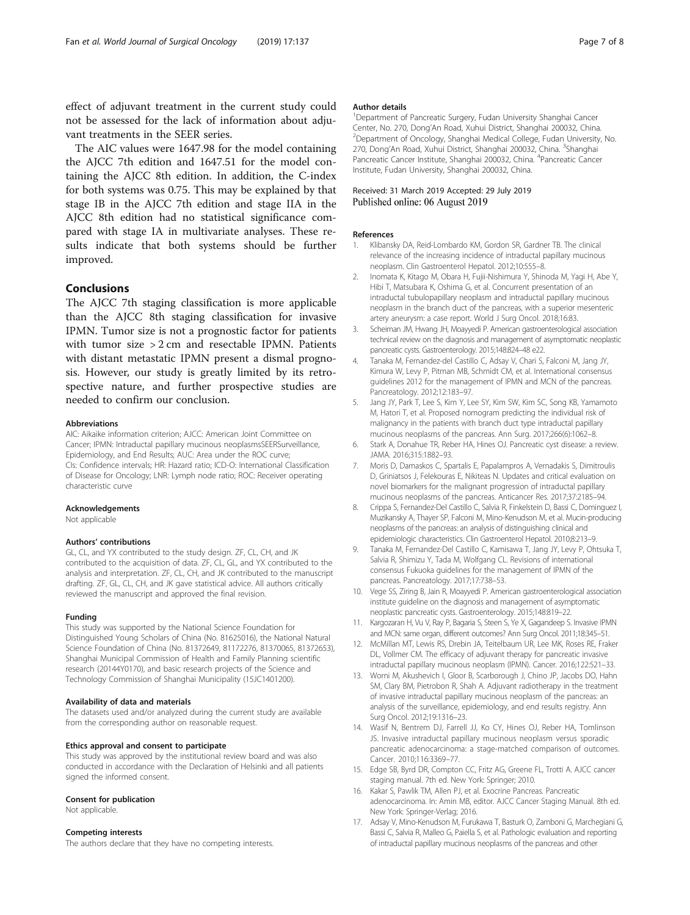<span id="page-6-0"></span>effect of adjuvant treatment in the current study could not be assessed for the lack of information about adjuvant treatments in the SEER series.

The AIC values were 1647.98 for the model containing the AJCC 7th edition and 1647.51 for the model containing the AJCC 8th edition. In addition, the C-index for both systems was 0.75. This may be explained by that stage IB in the AJCC 7th edition and stage IIA in the AJCC 8th edition had no statistical significance compared with stage IA in multivariate analyses. These results indicate that both systems should be further improved.

#### Conclusions

The AJCC 7th staging classification is more applicable than the AJCC 8th staging classification for invasive IPMN. Tumor size is not a prognostic factor for patients with tumor size > 2 cm and resectable IPMN. Patients with distant metastatic IPMN present a dismal prognosis. However, our study is greatly limited by its retrospective nature, and further prospective studies are needed to confirm our conclusion.

#### Abbreviations

AIC: Aikaike information criterion; AJCC: American Joint Committee on Cancer; IPMN: Intraductal papillary mucinous neoplasmsSEERSurveillance, Epidemiology, and End Results; AUC: Area under the ROC curve; CIs: Confidence intervals; HR: Hazard ratio; ICD-O: International Classification of Disease for Oncology; LNR: Lymph node ratio; ROC: Receiver operating characteristic curve

#### Acknowledgements

Not applicable

#### Authors' contributions

GL, CL, and YX contributed to the study design. ZF, CL, CH, and JK contributed to the acquisition of data. ZF, CL, GL, and YX contributed to the analysis and interpretation. ZF, CL, CH, and JK contributed to the manuscript drafting. ZF, GL, CL, CH, and JK gave statistical advice. All authors critically reviewed the manuscript and approved the final revision.

#### Funding

This study was supported by the National Science Foundation for Distinguished Young Scholars of China (No. 81625016), the National Natural Science Foundation of China (No. 81372649, 81172276, 81370065, 81372653), Shanghai Municipal Commission of Health and Family Planning scientific research (20144Y0170), and basic research projects of the Science and Technology Commission of Shanghai Municipality (15JC1401200).

#### Availability of data and materials

The datasets used and/or analyzed during the current study are available from the corresponding author on reasonable request.

#### Ethics approval and consent to participate

This study was approved by the institutional review board and was also conducted in accordance with the Declaration of Helsinki and all patients signed the informed consent.

#### Consent for publication

Not applicable.

#### Competing interests

The authors declare that they have no competing interests.

#### Author details

<sup>1</sup>Department of Pancreatic Surgery, Fudan University Shanghai Cancer Center, No. 270, Dong'An Road, Xuhui District, Shanghai 200032, China. <sup>2</sup> Department of Oncology, Shanghai Medical College, Fudan University, No. 270, Dong'An Road, Xuhui District, Shanghai 200032, China. <sup>3</sup>Shanghai Pancreatic Cancer Institute, Shanghai 200032, China. <sup>4</sup>Pancreatic Cancer Institute, Fudan University, Shanghai 200032, China.

#### Received: 31 March 2019 Accepted: 29 July 2019 Published online: 06 August 2019

#### References

- 1. Klibansky DA, Reid-Lombardo KM, Gordon SR, Gardner TB. The clinical relevance of the increasing incidence of intraductal papillary mucinous neoplasm. Clin Gastroenterol Hepatol. 2012;10:555–8.
- 2. Inomata K, Kitago M, Obara H, Fujii-Nishimura Y, Shinoda M, Yagi H, Abe Y, Hibi T, Matsubara K, Oshima G, et al. Concurrent presentation of an intraductal tubulopapillary neoplasm and intraductal papillary mucinous neoplasm in the branch duct of the pancreas, with a superior mesenteric artery aneurysm: a case report. World J Surg Oncol. 2018;16:83.
- 3. Scheiman JM, Hwang JH, Moayyedi P. American gastroenterological association technical review on the diagnosis and management of asymptomatic neoplastic pancreatic cysts. Gastroenterology. 2015;148:824–48 e22.
- 4. Tanaka M, Fernandez-del Castillo C, Adsay V, Chari S, Falconi M, Jang JY, Kimura W, Levy P, Pitman MB, Schmidt CM, et al. International consensus guidelines 2012 for the management of IPMN and MCN of the pancreas. Pancreatology. 2012;12:183–97.
- 5. Jang JY, Park T, Lee S, Kim Y, Lee SY, Kim SW, Kim SC, Song KB, Yamamoto M, Hatori T, et al. Proposed nomogram predicting the individual risk of malignancy in the patients with branch duct type intraductal papillary mucinous neoplasms of the pancreas. Ann Surg. 2017;266(6):1062–8.
- 6. Stark A, Donahue TR, Reber HA, Hines OJ. Pancreatic cyst disease: a review. JAMA. 2016;315:1882–93.
- 7. Moris D, Damaskos C, Spartalis E, Papalampros A, Vernadakis S, Dimitroulis D, Griniatsos J, Felekouras E, Nikiteas N. Updates and critical evaluation on novel biomarkers for the malignant progression of intraductal papillary mucinous neoplasms of the pancreas. Anticancer Res. 2017;37:2185–94.
- 8. Crippa S, Fernandez-Del Castillo C, Salvia R, Finkelstein D, Bassi C, Dominguez I, Muzikansky A, Thayer SP, Falconi M, Mino-Kenudson M, et al. Mucin-producing neoplasms of the pancreas: an analysis of distinguishing clinical and epidemiologic characteristics. Clin Gastroenterol Hepatol. 2010;8:213–9.
- 9. Tanaka M, Fernandez-Del Castillo C, Kamisawa T, Jang JY, Levy P, Ohtsuka T, Salvia R, Shimizu Y, Tada M, Wolfgang CL. Revisions of international consensus Fukuoka guidelines for the management of IPMN of the pancreas. Pancreatology. 2017;17:738–53.
- 10. Vege SS, Ziring B, Jain R, Moayyedi P. American gastroenterological association institute guideline on the diagnosis and management of asymptomatic neoplastic pancreatic cysts. Gastroenterology. 2015;148:819–22.
- 11. Kargozaran H, Vu V, Ray P, Bagaria S, Steen S, Ye X, Gagandeep S. Invasive IPMN and MCN: same organ, different outcomes? Ann Surg Oncol. 2011;18:345–51.
- 12. McMillan MT, Lewis RS, Drebin JA, Teitelbaum UR, Lee MK, Roses RE, Fraker DL, Vollmer CM. The efficacy of adjuvant therapy for pancreatic invasive intraductal papillary mucinous neoplasm (IPMN). Cancer. 2016;122:521–33.
- 13. Worni M, Akushevich I, Gloor B, Scarborough J, Chino JP, Jacobs DO, Hahn SM, Clary BM, Pietrobon R, Shah A. Adjuvant radiotherapy in the treatment of invasive intraductal papillary mucinous neoplasm of the pancreas: an analysis of the surveillance, epidemiology, and end results registry. Ann Surg Oncol. 2012;19:1316–23.
- 14. Wasif N, Bentrem DJ, Farrell JJ, Ko CY, Hines OJ, Reber HA, Tomlinson JS. Invasive intraductal papillary mucinous neoplasm versus sporadic pancreatic adenocarcinoma: a stage-matched comparison of outcomes. Cancer. 2010;116:3369–77.
- 15. Edge SB, Byrd DR, Compton CC, Fritz AG, Greene FL, Trotti A. AJCC cancer staging manual. 7th ed. New York: Springer; 2010.
- 16. Kakar S, Pawlik TM, Allen PJ, et al. Exocrine Pancreas. Pancreatic adenocarcinoma. In: Amin MB, editor. AJCC Cancer Staging Manual. 8th ed. New York: Springer-Verlag; 2016.
- 17. Adsay V, Mino-Kenudson M, Furukawa T, Basturk O, Zamboni G, Marchegiani G, Bassi C, Salvia R, Malleo G, Paiella S, et al. Pathologic evaluation and reporting of intraductal papillary mucinous neoplasms of the pancreas and other